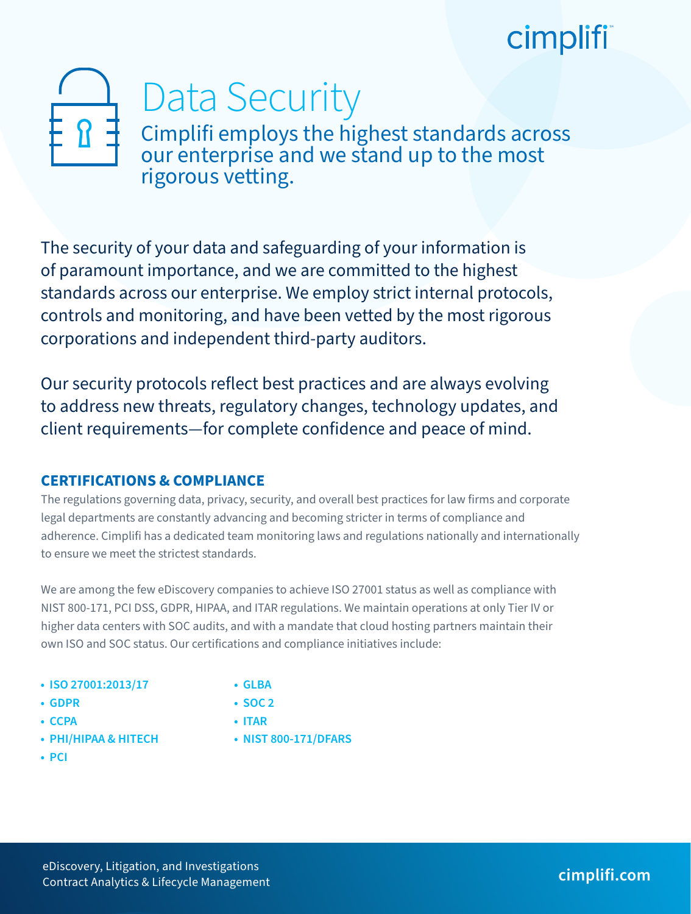# cimplifi

# Data Security

Cimplifi employs the highest standards across our enterprise and we stand up to the most rigorous vetting.

The security of your data and safeguarding of your information is of paramount importance, and we are committed to the highest standards across our enterprise. We employ strict internal protocols, controls and monitoring, and have been vetted by the most rigorous corporations and independent third-party auditors.

Our security protocols reflect best practices and are always evolving to address new threats, regulatory changes, technology updates, and client requirements—for complete confidence and peace of mind.

## **CERTIFICATIONS & COMPLIANCE**

The regulations governing data, privacy, security, and overall best practices for law firms and corporate legal departments are constantly advancing and becoming stricter in terms of compliance and adherence. Cimplifi has a dedicated team monitoring laws and regulations nationally and internationally to ensure we meet the strictest standards.

We are among the few eDiscovery companies to achieve ISO 27001 status as well as compliance with NIST 800-171, PCI DSS, GDPR, HIPAA, and ITAR regulations. We maintain operations at only Tier IV or higher data centers with SOC audits, and with a mandate that cloud hosting partners maintain their own ISO and SOC status. Our certifications and compliance initiatives include:

- **ISO 27001:2013/17**
- **GDPR**

**• GLBA**

- 
- **CCPA**
- **PHI/HIPAA & HITECH**
- **PCI**
- **SOC 2**
- **ITAR**
- **NIST 800-171/DFARS**
- 

eDiscovery, Litigation, and Investigations

## Contract Analytics & Lifecycle Management **cimplifi.com**